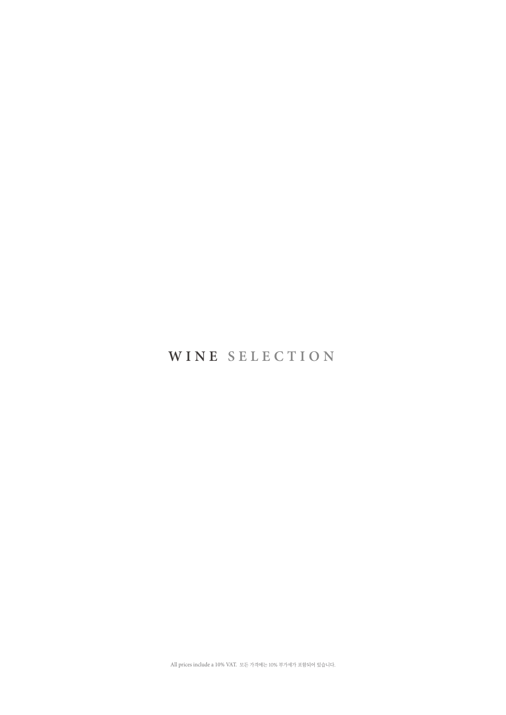## **WINE SELECTION**

All prices include a 10% VAT. 모든 가격에는 10% 부가세가 포함되어 있습니다.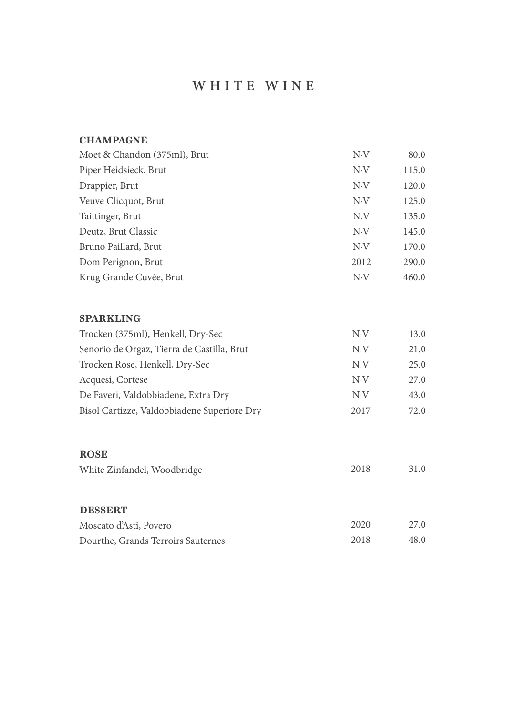## **W HITE W I N E**

| Moet & Chandon (375ml), Brut | $N\cdot V$ | 80.0  |
|------------------------------|------------|-------|
| Piper Heidsieck, Brut        | N.V        | 115.0 |
| Drappier, Brut               | N.V        | 120.0 |
| Veuve Clicquot, Brut         | $N\cdot V$ | 125.0 |
| Taittinger, Brut             | N.V        | 135.0 |
| Deutz, Brut Classic          | $N\cdot V$ | 145.0 |
| Bruno Paillard, Brut         | N.V        | 170.0 |
| Dom Perignon, Brut           | 2012       | 290.0 |
| Krug Grande Cuvée, Brut      | $N\cdot V$ | 460.0 |

#### **SPARKLING**

| Trocken (375ml), Henkell, Dry-Sec           | N.V  | 13.0 |
|---------------------------------------------|------|------|
| Senorio de Orgaz, Tierra de Castilla, Brut  | N.V  | 21.0 |
| Trocken Rose, Henkell, Dry-Sec              | N.V  | 25.0 |
| Acquesi, Cortese                            | N.V  | 27.0 |
| De Faveri, Valdobbiadene, Extra Dry         | N.V  | 43.0 |
| Bisol Cartizze, Valdobbiadene Superiore Dry | 2017 | 72.0 |
|                                             |      |      |

### **ROSE**

White Zinfandel, Woodbridge 2018 31.0

#### **DESSERT**

| Moscato d'Asti, Povero             | 2020 | 27.0 |
|------------------------------------|------|------|
| Dourthe, Grands Terroirs Sauternes | 2018 | 48.0 |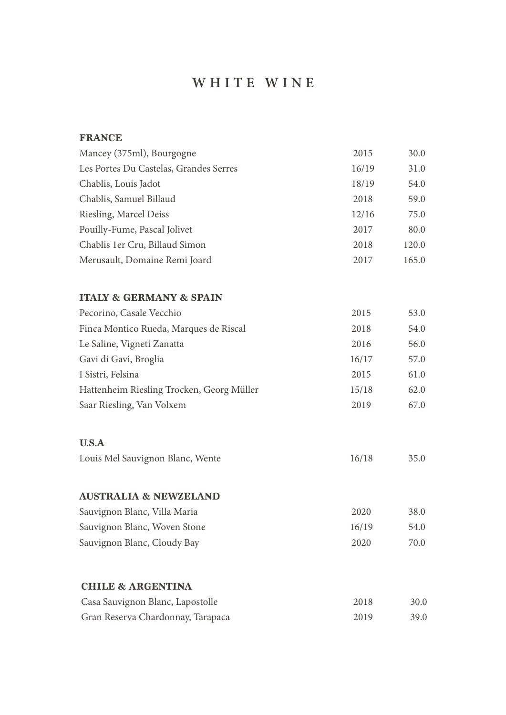# **W HITE W I N E**

| <b>FRANCE</b>                             |       |       |
|-------------------------------------------|-------|-------|
| Mancey (375ml), Bourgogne                 | 2015  | 30.0  |
| Les Portes Du Castelas, Grandes Serres    | 16/19 | 31.0  |
| Chablis, Louis Jadot                      | 18/19 | 54.0  |
| Chablis, Samuel Billaud                   | 2018  | 59.0  |
| Riesling, Marcel Deiss                    | 12/16 | 75.0  |
| Pouilly-Fume, Pascal Jolivet              | 2017  | 80.0  |
| Chablis 1er Cru, Billaud Simon            | 2018  | 120.0 |
| Merusault, Domaine Remi Joard             | 2017  | 165.0 |
| <b>ITALY &amp; GERMANY &amp; SPAIN</b>    |       |       |
| Pecorino, Casale Vecchio                  | 2015  | 53.0  |
| Finca Montico Rueda, Marques de Riscal    | 2018  | 54.0  |
| Le Saline, Vigneti Zanatta                | 2016  | 56.0  |
| Gavi di Gavi, Broglia                     | 16/17 | 57.0  |
| I Sistri, Felsina                         | 2015  | 61.0  |
| Hattenheim Riesling Trocken, Georg Müller | 15/18 | 62.0  |
| Saar Riesling, Van Volxem                 | 2019  | 67.0  |
| U.S.A                                     |       |       |
| Louis Mel Sauvignon Blanc, Wente          | 16/18 | 35.0  |
| <b>AUSTRALIA &amp; NEWZELAND</b>          |       |       |
| Sauvignon Blanc, Villa Maria              | 2020  | 38.0  |
| Sauvignon Blanc, Woven Stone              | 16/19 | 54.0  |
| Sauvignon Blanc, Cloudy Bay               | 2020  | 70.0  |
| <b>CHILE &amp; ARGENTINA</b>              |       |       |
| Casa Sauvignon Blanc, Lapostolle          | 2018  | 30.0  |
| Gran Reserva Chardonnay, Tarapaca         | 2019  | 39.0  |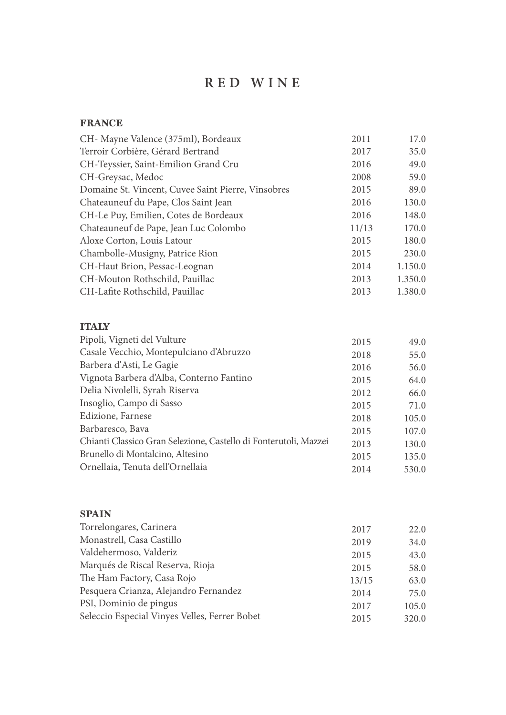## **RED WINE**

#### **FRANCE**

| CH- Mayne Valence (375ml), Bordeaux                              | 2011  | 17.0    |
|------------------------------------------------------------------|-------|---------|
| Terroir Corbière, Gérard Bertrand                                | 2017  | 35.0    |
| CH-Teyssier, Saint-Emilion Grand Cru                             | 2016  | 49.0    |
| CH-Greysac, Medoc                                                | 2008  | 59.0    |
| Domaine St. Vincent, Cuvee Saint Pierre, Vinsobres               | 2015  | 89.0    |
| Chateauneuf du Pape, Clos Saint Jean                             | 2016  | 130.0   |
| CH-Le Puy, Emilien, Cotes de Bordeaux                            | 2016  | 148.0   |
| Chateauneuf de Pape, Jean Luc Colombo                            | 11/13 | 170.0   |
| Aloxe Corton, Louis Latour                                       | 2015  | 180.0   |
| Chambolle-Musigny, Patrice Rion                                  | 2015  | 230.0   |
| CH-Haut Brion, Pessac-Leognan                                    | 2014  | 1.150.0 |
| CH-Mouton Rothschild, Pauillac                                   | 2013  | 1.350.0 |
| CH-Lafite Rothschild, Pauillac                                   | 2013  | 1.380.0 |
| <b>ITALY</b>                                                     |       |         |
| Pipoli, Vigneti del Vulture                                      | 2015  | 49.0    |
| Casale Vecchio, Montepulciano d'Abruzzo                          | 2018  | 55.0    |
| Barbera d'Asti, Le Gagie                                         | 2016  | 56.0    |
| Vignota Barbera d'Alba, Conterno Fantino                         | 2015  | 64.0    |
| Delia Nivolelli, Syrah Riserva                                   | 2012  | 66.0    |
| Insoglio, Campo di Sasso                                         | 2015  | 71.0    |
| Edizione, Farnese                                                | 2018  | 105.0   |
| Barbaresco, Bava                                                 | 2015  | 107.0   |
| Chianti Classico Gran Selezione, Castello di Fonterutoli, Mazzei | 2013  | 130.0   |
| Brunello di Montalcino, Altesino                                 | 2015  | 135 $0$ |

#### **SPAIN**

Ornellaia, Tenuta dell'Ornellaia

| Torrelongares, Carinera                       | 2017  | 22.0  |
|-----------------------------------------------|-------|-------|
| Monastrell, Casa Castillo                     | 2019  | 34.0  |
| Valdehermoso, Valderiz                        | 2015  | 43.0  |
| Marqués de Riscal Reserva, Rioja              | 2015  | 58.0  |
| The Ham Factory, Casa Rojo                    | 13/15 | 63.0  |
| Pesquera Crianza, Alejandro Fernandez         | 2014  | 75.0  |
| PSI, Dominio de pingus                        | 2017  | 105.0 |
| Seleccio Especial Vinyes Velles, Ferrer Bobet | 2015  | 320.0 |
|                                               |       |       |

2015 2014

135.0 530.0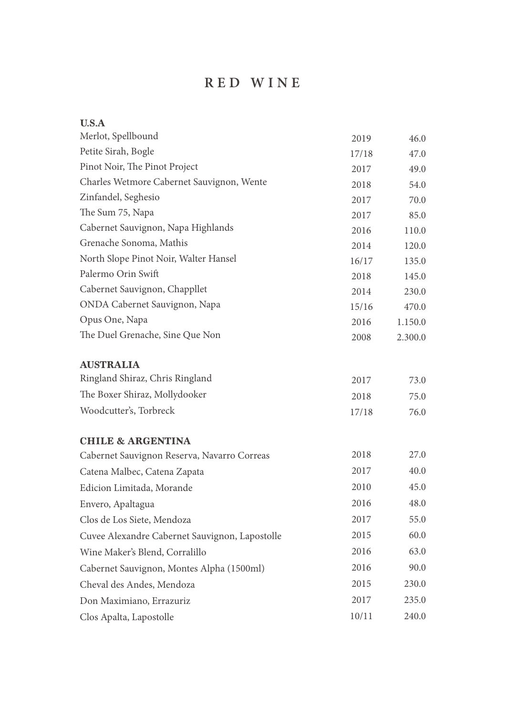## **RED WINE**

| U.S.A                                          |       |         |
|------------------------------------------------|-------|---------|
| Merlot, Spellbound                             | 2019  | 46.0    |
| Petite Sirah, Bogle                            | 17/18 | 47.0    |
| Pinot Noir, The Pinot Project                  | 2017  | 49.0    |
| Charles Wetmore Cabernet Sauvignon, Wente      | 2018  | 54.0    |
| Zinfandel, Seghesio                            | 2017  | 70.0    |
| The Sum 75, Napa                               | 2017  | 85.0    |
| Cabernet Sauvignon, Napa Highlands             | 2016  | 110.0   |
| Grenache Sonoma, Mathis                        | 2014  | 120.0   |
| North Slope Pinot Noir, Walter Hansel          | 16/17 | 135.0   |
| Palermo Orin Swift                             | 2018  | 145.0   |
| Cabernet Sauvignon, Chappllet                  | 2014  | 230.0   |
| ONDA Cabernet Sauvignon, Napa                  | 15/16 | 470.0   |
| Opus One, Napa                                 | 2016  | 1.150.0 |
| The Duel Grenache, Sine Que Non                | 2008  | 2.300.0 |
| <b>AUSTRALIA</b>                               |       |         |
| Ringland Shiraz, Chris Ringland                | 2017  | 73.0    |
| The Boxer Shiraz, Mollydooker                  | 2018  | 75.0    |
| Woodcutter's, Torbreck                         | 17/18 | 76.0    |
| <b>CHILE &amp; ARGENTINA</b>                   |       |         |
| Cabernet Sauvignon Reserva, Navarro Correas    | 2018  | 27.0    |
| Catena Malbec, Catena Zapata                   | 2017  | 40.0    |
| Edicion Limitada, Morande                      | 2010  | 45.0    |
| Envero, Apaltagua                              | 2016  | 48.0    |
| Clos de Los Siete, Mendoza                     | 2017  | 55.0    |
| Cuvee Alexandre Cabernet Sauvignon, Lapostolle | 2015  | 60.0    |
| Wine Maker's Blend, Corralillo                 | 2016  | 63.0    |
| Cabernet Sauvignon, Montes Alpha (1500ml)      | 2016  | 90.0    |
| Cheval des Andes, Mendoza                      | 2015  | 230.0   |
| Don Maximiano, Errazuriz                       | 2017  | 235.0   |
| Clos Apalta, Lapostolle                        | 10/11 | 240.0   |